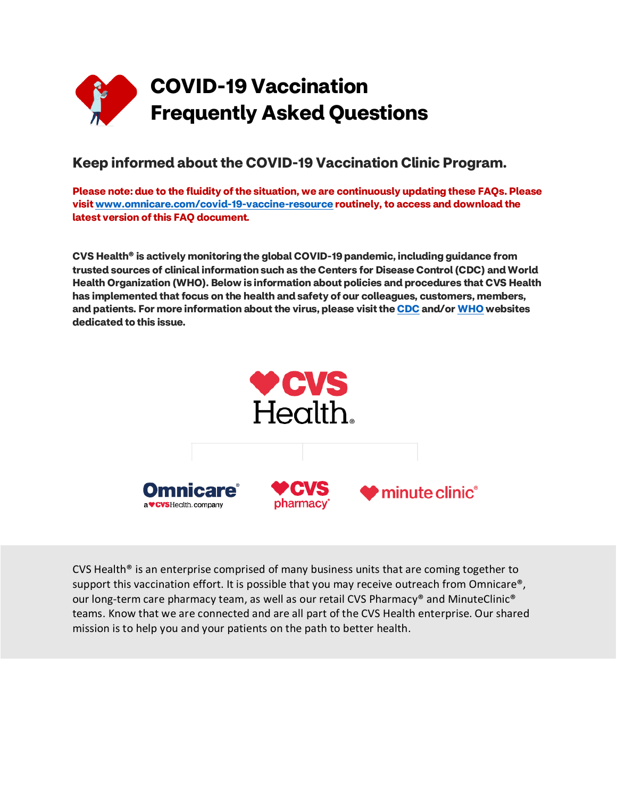

# **Keep informed about the COVID-19 Vaccination Clinic Program.**

**Please note: due to the fluidity of the situation, we are continuously updating these FAQs. Please visi[t www.omnicare.com/covid-19-vaccine-resource](http://www.omnicare.com/covid-19-vaccine-resource) routinely, to access and download the latest version of this FAQ document***.*

**CVS Health® is actively monitoring the global COVID-19 pandemic, including guidance from trusted sources of clinical information such as the Centers for Disease Control (CDC) and World Health Organization (WHO). Below is information about policies and procedures that CVS Health has implemented that focus on the health and safety of our colleagues, customers, members, and patients. For more information about the virus, please visit th[e CDC](https://www.cdc.gov/coronavirus/2019-ncov/index.html?CDC_AA_refVal=https%3A%2F%2Fwww.cdc.gov%2Fcoronavirus%2Findex.html) and/or [WHO](https://www.who.int/emergencies/diseases/novel-coronavirus-2019) websites dedicated to this issue.**



CVS Health<sup>®</sup> is an enterprise comprised of many business units that are coming together to support this vaccination effort. It is possible that you may receive outreach from Omnicare®, our long-term care pharmacy team, as well as our retail CVS Pharmacy® and MinuteClinic® teams. Know that we are connected and are all part of the CVS Health enterprise. Our shared mission is to help you and your patients on the path to better health.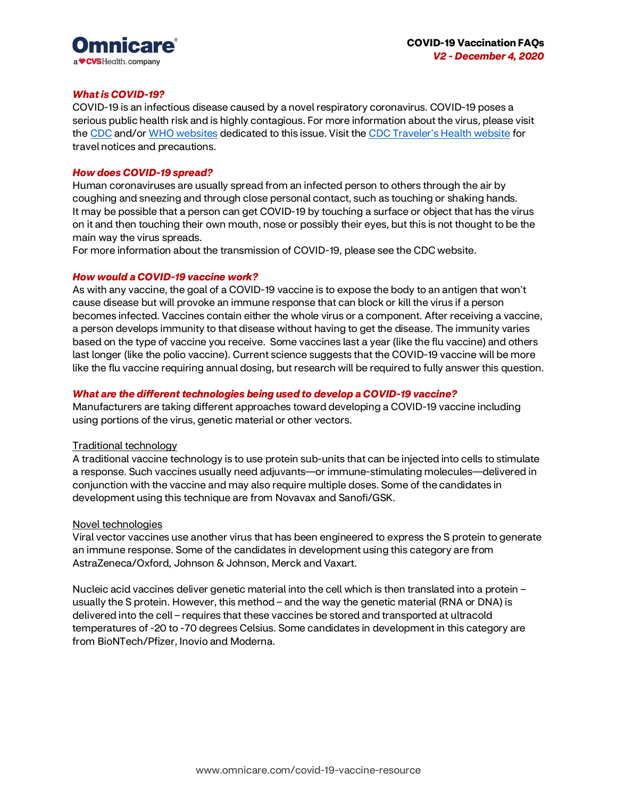

### *What is COVID-19?*

COVID-19 is an infectious disease caused by a novel respiratory coronavirus. COVID-19 poses a serious public health risk and is highly contagious. For more information about the virus, please visit th[e CDC](http://www.cdc.gov/coronavirus/index.html) and/o[r WHO websites](http://www.who.int/emergencies/diseases/novel-coronavirus-2019) dedicated to this issue. Visit the [CDC Traveler's Health website](https://wwwnc.cdc.gov/travel/notices/alert/novel-coronavirus-china) for travel notices and precautions.

### *How does COVID-19 spread?*

Human coronaviruses are usually spread from an infected person to others through the air by coughing and sneezing and through close personal contact, such as touching or shaking hands. It may be possible that a person can get COVID-19 by touching a surface or object that has the virus on it and then touching their own mouth, nose or possibly their eyes, but this is not thought to be the main way the virus spreads.

For more information about the transmission of COVID-19, please see the CDC website.

# *How would a COVID-19 vaccine work?*

As with any vaccine, the goal of a COVID-19 vaccine is to expose the body to an antigen that won't cause disease but will provoke an immune response that can block or kill the virus if a person becomes infected. Vaccines contain either the whole virus or a component. After receiving a vaccine, a person develops immunity to that disease without having to get the disease. The immunity varies based on the type of vaccine you receive. Some vaccines last a year (like the flu vaccine) and others last longer (like the polio vaccine). Current science suggests that the COVID-19 vaccine will be more like the flu vaccine requiring annual dosing, but research will be required to fully answer this question.

## *What are the different technologies being used to develop a COVID-19 vaccine?*

Manufacturers are taking different approaches toward developing a COVID-19 vaccine including using portions of the virus, genetic material or other vectors.

### Traditional technology

A traditional vaccine technology is to use protein sub-units that can be injected into cells to stimulate a response. Such vaccines usually need adjuvants—or immune-stimulating molecules—delivered in conjunction with the vaccine and may also require multiple doses. Some of the candidates in development using this technique are from Novavax and Sanofi/GSK.

### Novel technologies

Viral vector vaccines use another virus that has been engineered to express the S protein to generate an immune response. Some of the candidates in development using this category are from AstraZeneca/Oxford, Johnson & Johnson, Merck and Vaxart.

Nucleic acid vaccines deliver genetic material into the cell which is then translated into a protein – usually the S protein. However, this method – and the way the genetic material (RNA or DNA) is delivered into the cell – requires that these vaccines be stored and transported at ultracold temperatures of -20 to -70 degrees Celsius. Some candidates in development in this category are from BioNTech/Pfizer, Inovio and Moderna.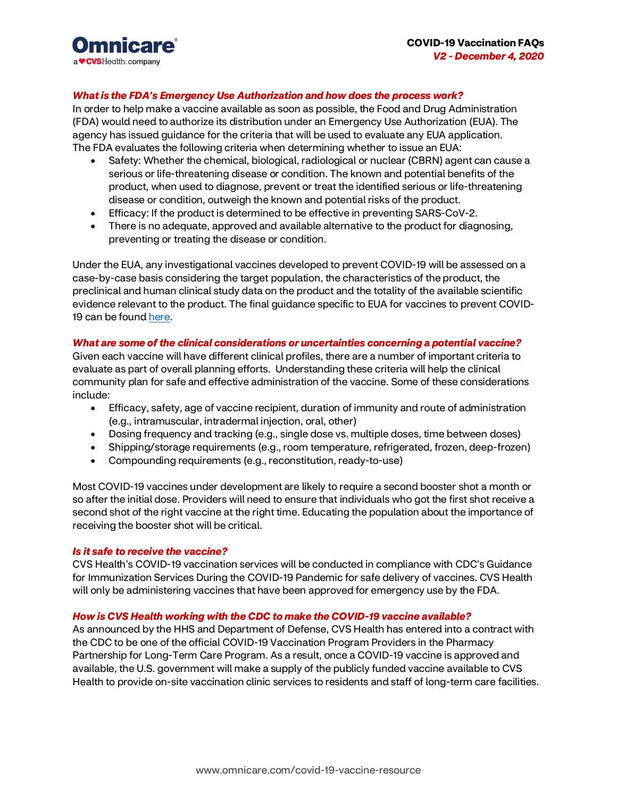

# *What is the FDA's Emergency Use Authorization and how does the process work?*

In order to help make a vaccine available as soon as possible, the Food and Drug Administration (FDA) would need to authorize its distribution under an Emergency Use Authorization (EUA). The agency has issued guidance for the criteria that will be used to evaluate any EUA application. The FDA evaluates the following criteria when determining whether to issue an EUA:

- Safety: Whether the chemical, biological, radiological or nuclear (CBRN) agent can cause a serious or life-threatening disease or condition. The known and potential benefits of the product, when used to diagnose, prevent or treat the identified serious or life-threatening disease or condition, outweigh the known and potential risks of the product.
- Efficacy: If the product is determined to be effective in preventing SARS-CoV-2.
- There is no adequate, approved and available alternative to the product for diagnosing, preventing or treating the disease or condition.

Under the EUA, any investigational vaccines developed to prevent COVID-19 will be assessed on a case-by-case basis considering the target population, the characteristics of the product, the preclinical and human clinical study data on the product and the totality of the available scientific evidence relevant to the product. The final guidance specific to EUA for vaccines to prevent COVID-19 can be foun[d here.](https://www.fda.gov/media/142749/download)

### *What are some of the clinical considerations or uncertainties concerning a potential vaccine?*

Given each vaccine will have different clinical profiles, there are a number of important criteria to evaluate as part of overall planning efforts. Understanding these criteria will help the clinical community plan for safe and effective administration of the vaccine. Some of these considerations include:

- Efficacy, safety, age of vaccine recipient, duration of immunity and route of administration (e.g., intramuscular, intradermal injection, oral, other)
- Dosing frequency and tracking (e.g., single dose vs. multiple doses, time between doses)
- Shipping/storage requirements (e.g., room temperature, refrigerated, frozen, deep-frozen)
- Compounding requirements (e.g., reconstitution, ready-to-use)

Most COVID-19 vaccines under development are likely to require a second booster shot a month or so after the initial dose. Providers will need to ensure that individuals who got the first shot receive a second shot of the right vaccine at the right time. Educating the population about the importance of receiving the booster shot will be critical.

### *Is it safe to receive the vaccine?*

CVS Health's COVID-19 vaccination services will be conducted in compliance with CDC's Guidance for Immunization Services During the COVID-19 Pandemic for safe delivery of vaccines. CVS Health will only be administering vaccines that have been approved for emergency use by the FDA.

### *How is CVS Health working with the CDC to make the COVID-19 vaccine available?*

As announced by the HHS and Department of Defense, CVS Health has entered into a contract with the CDC to be one of the official COVID-19 Vaccination Program Providers in the Pharmacy Partnership for Long-Term Care Program. As a result, once a COVID-19 vaccine is approved and available, the U.S. government will make a supply of the publicly funded vaccine available to CVS Health to provide on-site vaccination clinic services to residents and staff of long-term care facilities.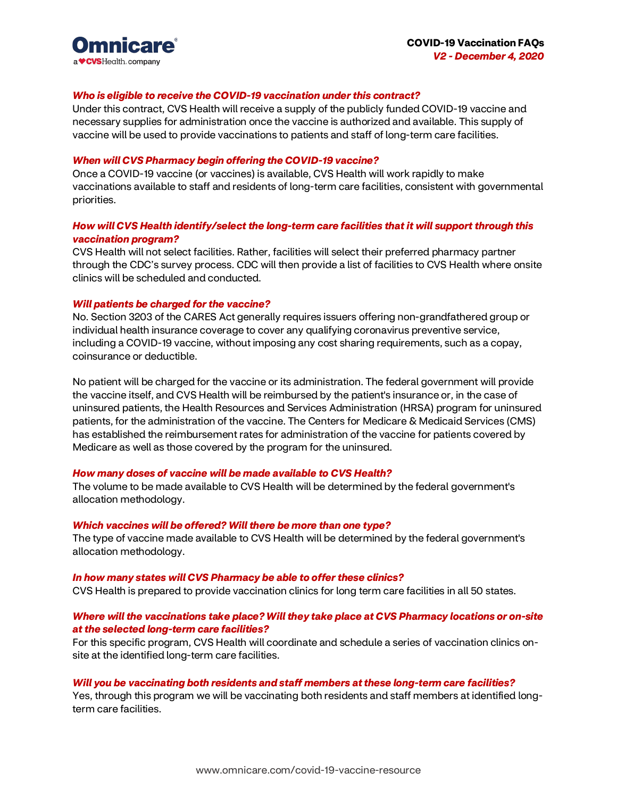

### *Who is eligible to receive the COVID-19 vaccination under this contract?*

Under this contract, CVS Health will receive a supply of the publicly funded COVID-19 vaccine and necessary supplies for administration once the vaccine is authorized and available. This supply of vaccine will be used to provide vaccinations to patients and staff of long-term care facilities.

### *When will CVS Pharmacy begin offering the COVID-19 vaccine?*

Once a COVID-19 vaccine (or vaccines) is available, CVS Health will work rapidly to make vaccinations available to staff and residents of long-term care facilities, consistent with governmental priorities.

# *How will CVS Health identify/select the long-term care facilities that it will support through this vaccination program?*

CVS Health will not select facilities. Rather, facilities will select their preferred pharmacy partner through the CDC's survey process. CDC will then provide a list of facilities to CVS Health where onsite clinics will be scheduled and conducted.

### *Will patients be charged for the vaccine?*

No. Section 3203 of the CARES Act generally requires issuers offering non-grandfathered group or individual health insurance coverage to cover any qualifying coronavirus preventive service, including a COVID-19 vaccine, without imposing any cost sharing requirements, such as a copay, coinsurance or deductible.

No patient will be charged for the vaccine or its administration. The federal government will provide the vaccine itself, and CVS Health will be reimbursed by the patient's insurance or, in the case of uninsured patients, the Health Resources and Services Administration (HRSA) program for uninsured patients, for the administration of the vaccine. The Centers for Medicare & Medicaid Services (CMS) has established the reimbursement rates for administration of the vaccine for patients covered by Medicare as well as those covered by the program for the uninsured.

### *How many doses of vaccine will be made available to CVS Health?*

The volume to be made available to CVS Health will be determined by the federal government's allocation methodology.

#### *Which vaccines will be offered? Will there be more than one type?*

The type of vaccine made available to CVS Health will be determined by the federal government's allocation methodology.

#### *In how many states will CVS Pharmacy be able to offer these clinics?*

CVS Health is prepared to provide vaccination clinics for long term care facilities in all 50 states.

# *Where will the vaccinations take place? Will they take place at CVS Pharmacy locations or on-site at the selected long-term care facilities?*

For this specific program, CVS Health will coordinate and schedule a series of vaccination clinics onsite at the identified long-term care facilities.

#### *Will you be vaccinating both residents and staff members at these long-term care facilities?*

Yes, through this program we will be vaccinating both residents and staff members at identified longterm care facilities.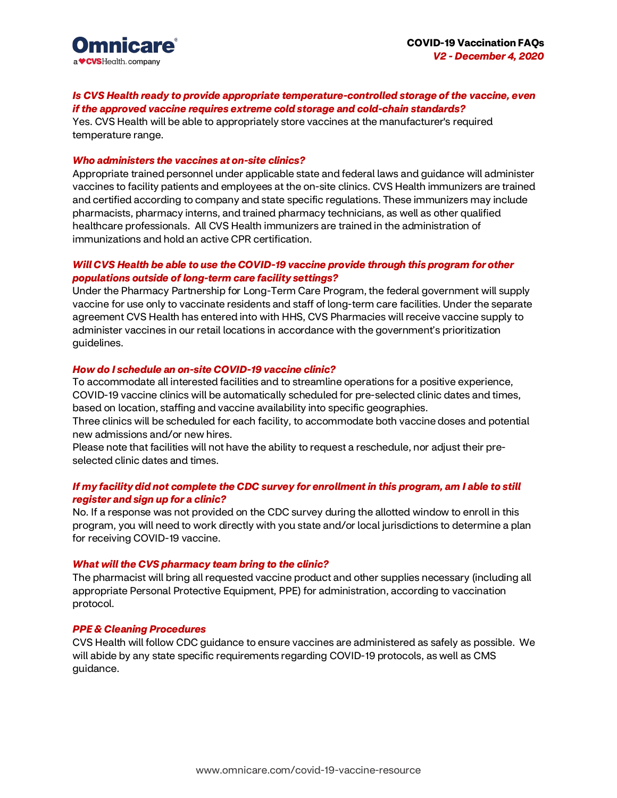

# *Is CVS Health ready to provide appropriate temperature-controlled storage of the vaccine, even if the approved vaccine requires extreme cold storage and cold-chain standards?*

Yes. CVS Health will be able to appropriately store vaccines at the manufacturer's required temperature range.

# *Who administers the vaccines at on-site clinics?*

Appropriate trained personnel under applicable state and federal laws and guidance will administer vaccines to facility patients and employees at the on-site clinics. CVS Health immunizers are trained and certified according to company and state specific regulations. These immunizers may include pharmacists, pharmacy interns, and trained pharmacy technicians, as well as other qualified healthcare professionals. All CVS Health immunizers are trained in the administration of immunizations and hold an active CPR certification.

# *Will CVS Health be able to use the COVID-19 vaccine provide through this program for other populations outside of long-term care facility settings?*

Under the Pharmacy Partnership for Long-Term Care Program, the federal government will supply vaccine for use only to vaccinate residents and staff of long-term care facilities. Under the separate agreement CVS Health has entered into with HHS, CVS Pharmacies will receive vaccine supply to administer vaccines in our retail locations in accordance with the government's prioritization guidelines.

### *How do I schedule an on-site COVID-19 vaccine clinic?*

To accommodate all interested facilities and to streamline operations for a positive experience, COVID-19 vaccine clinics will be automatically scheduled for pre-selected clinic dates and times, based on location, staffing and vaccine availability into specific geographies.

Three clinics will be scheduled for each facility, to accommodate both vaccine doses and potential new admissions and/or new hires.

Please note that facilities will not have the ability to request a reschedule, nor adjust their preselected clinic dates and times.

### *If my facility did not complete the CDC survey for enrollment in this program, am I able to still register and sign up for a clinic?*

No. If a response was not provided on the CDC survey during the allotted window to enroll in this program, you will need to work directly with you state and/or local jurisdictions to determine a plan for receiving COVID-19 vaccine.

### *What will the CVS pharmacy team bring to the clinic?*

The pharmacist will bring all requested vaccine product and other supplies necessary (including all appropriate Personal Protective Equipment, PPE) for administration, according to vaccination protocol.

### *PPE & Cleaning Procedures*

CVS Health will follow CDC guidance to ensure vaccines are administered as safely as possible. We will abide by any state specific requirements regarding COVID-19 protocols, as well as CMS guidance.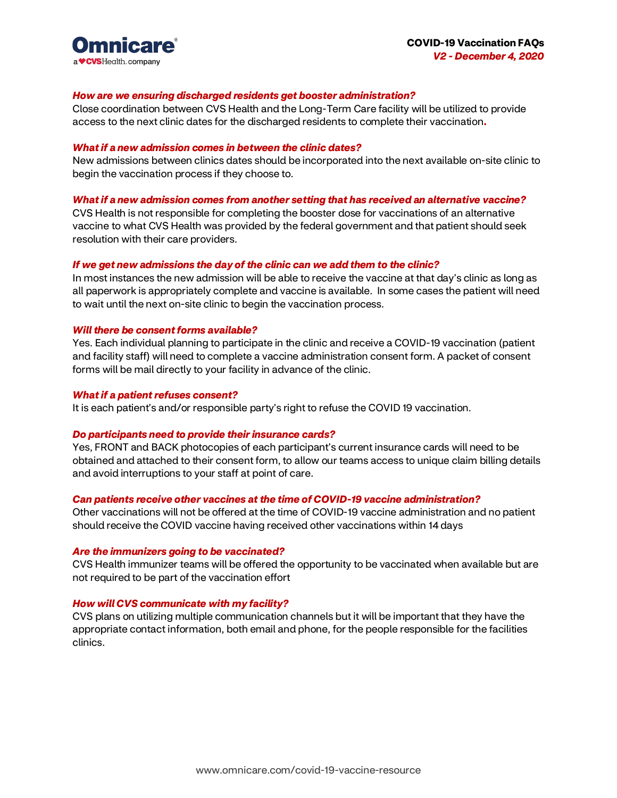

### *How are we ensuring discharged residents get booster administration?*

Close coordination between CVS Health and the Long-Term Care facility will be utilized to provide access to the next clinic dates for the discharged residents to complete their vaccination**.**

### *What if a new admission comes in between the clinic dates?*

New admissions between clinics dates should be incorporated into the next available on-site clinic to begin the vaccination process if they choose to.

#### *What if a new admission comes from another setting that has received an alternative vaccine?*

CVS Health is not responsible for completing the booster dose for vaccinations of an alternative vaccine to what CVS Health was provided by the federal government and that patient should seek resolution with their care providers.

### *If we get new admissions the day of the clinic can we add them to the clinic?*

In most instances the new admission will be able to receive the vaccine at that day's clinic as long as all paperwork is appropriately complete and vaccine is available. In some cases the patient will need to wait until the next on-site clinic to begin the vaccination process.

#### *Will there be consent forms available?*

Yes. Each individual planning to participate in the clinic and receive a COVID-19 vaccination (patient and facility staff) will need to complete a vaccine administration consent form. A packet of consent forms will be mail directly to your facility in advance of the clinic.

#### *What if a patient refuses consent?*

It is each patient's and/or responsible party's right to refuse the COVID 19 vaccination.

#### *Do participants need to provide their insurance cards?*

Yes, FRONT and BACK photocopies of each participant's current insurance cards will need to be obtained and attached to their consent form, to allow our teams access to unique claim billing details and avoid interruptions to your staff at point of care.

#### *Can patients receive other vaccines at the time of COVID-19 vaccine administration?*

Other vaccinations will not be offered at the time of COVID-19 vaccine administration and no patient should receive the COVID vaccine having received other vaccinations within 14 days

#### *Are the immunizers going to be vaccinated?*

CVS Health immunizer teams will be offered the opportunity to be vaccinated when available but are not required to be part of the vaccination effort

### *How will CVS communicate with my facility?*

CVS plans on utilizing multiple communication channels but it will be important that they have the appropriate contact information, both email and phone, for the people responsible for the facilities clinics.